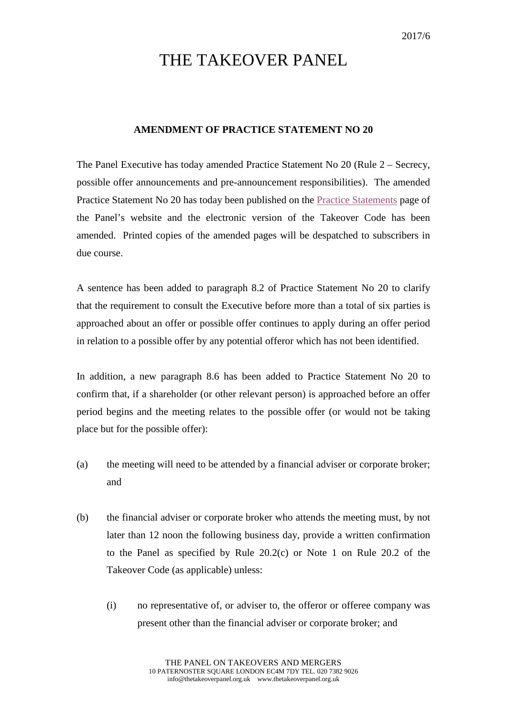## THE TAKEOVER PANEL

## **AMENDMENT OF PRACTICE STATEMENT NO 20**

The Panel Executive has today amended Practice Statement No 20 (Rule 2 – Secrecy, possible offer announcements and pre-announcement responsibilities). The amended Practice Statement No 20 has today been published on the [Practice Statements](http://www.thetakeoverpanel.org.uk/statements/practice-statements) page of the Panel's website and the electronic version of the Takeover Code has been amended. Printed copies of the amended pages will be despatched to subscribers in due course.

A sentence has been added to paragraph 8.2 of Practice Statement No 20 to clarify that the requirement to consult the Executive before more than a total of six parties is approached about an offer or possible offer continues to apply during an offer period in relation to a possible offer by any potential offeror which has not been identified.

In addition, a new paragraph 8.6 has been added to Practice Statement No 20 to confirm that, if a shareholder (or other relevant person) is approached before an offer period begins and the meeting relates to the possible offer (or would not be taking place but for the possible offer):

- (a) the meeting will need to be attended by a financial adviser or corporate broker; and
- (b) the financial adviser or corporate broker who attends the meeting must, by not later than 12 noon the following business day, provide a written confirmation to the Panel as specified by Rule 20.2(c) or Note 1 on Rule 20.2 of the Takeover Code (as applicable) unless:
	- (i) no representative of, or adviser to, the offeror or offeree company was present other than the financial adviser or corporate broker; and